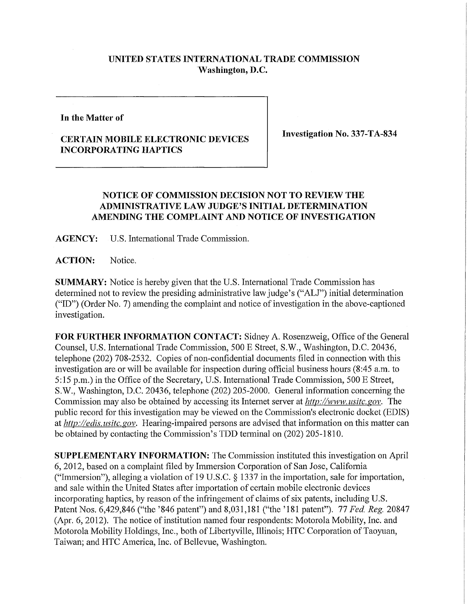## **UNITED STATES INTERNATIONAL TRADE COMMISSION Washington, D.C.**

**In the Matter of** 

## **CERTAIN MOBILE ELECTRONIC DEVICES INCORPORATING HAPTICS**

**Investigation No. 337-TA-834** 

## **NOTICE OF COMMISSION DECISION NOT TO REVIEW THE ADMINISTRATIVE LAW JUDGE'S INITIAL DETERMINATION AMENDING THE COMPLAINT AND NOTICE OF INVESTIGATION**

**AGENCY:** U.S. International Trade Commission.

**ACTION:** Notice.

**SUMMARY:** Notice is hereby given that the U.S. International Trade Commission has determined not to review the presiding administrative law judge's ("ALJ") initial determination ("ID") (Order No. 7) amending the complaint and notice of investigation in the above-captioned investigation.

FOR FURTHER INFORMATION CONTACT: Sidney A. Rosenzweig, Office of the General Counsel, U.S. International Trade Commission, 500 E Street, S.W., Washington, D.C. 20436, telephone (202) 708-2532. Copies of non-confidential documents filed in connection with this investigation are or will be available for inspection during official business hours (8:45 a.m. to 5:15 p.m.) in the Office of the Secretary, U.S. International Trade Commission, 500 E Street, 5. W., Washington, D.C. 20436, telephone (202) 205-2000. General information concerning the Commission may also be obtained by accessing its Internet server at *http://www, usitc. gov.* The public record for this investigation may be viewed on the Commission's electronic docket (EDIS) at *http://edis. usitc. gov.* Hearing-impaired persons are advised that information on this matter can be obtained by contacting the Commission's TDD terminal on (202) 205-1810.

**SUPPLEMENTARY INFORMATION:** The Commission instituted this investigation on April 6, 2012, based on a complaint filed by Immersion Corporation of San Jose, California ("Immersion"), alleging a violation of 19 U.S.C.  $\S$  1337 in the importation, sale for importation, and sale within the United States after importation of certain mobile electronic devices incorporating haptics, by reason of the infringement of claims of six patents, including U.S. Patent Nos. 6,429,846 ("the '846 patent") and 8,031,181 ("the '181 patent"). 77 Fed *Reg.* 20847 (Apr. 6, 2012). The notice of institution named four respondents: Motorola Mobility, Inc. and Motorola Mobility Holdings, Inc., both of Libertyville, Illinois; HTC Corporation of Taoyuan, Taiwan; and HTC America, Inc. of Bellevue, Washington.